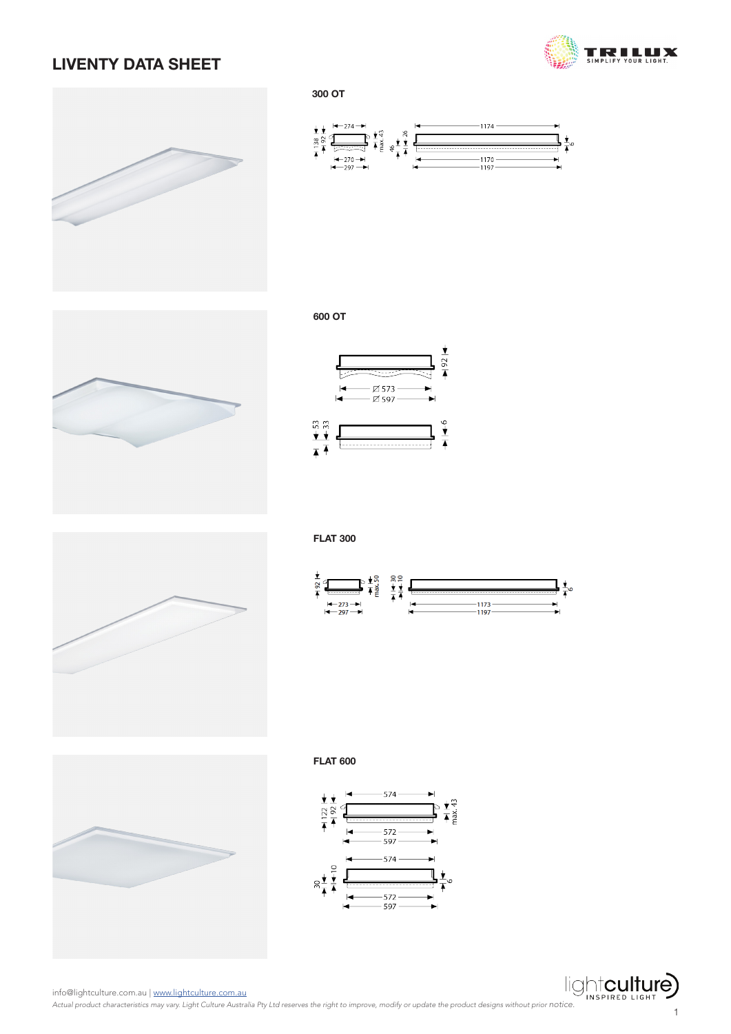## **LIVENTY DATA SHEET**











**300 OT**







**FLAT 600**









Actual product characteristics may vary. Light Culture Com au and the vertex of the right to improve, modify or update the product designs without prior notice.<br>Actual product characteristics may vary. Light Culture Austra info@lightculture.com.au | www.lightculture.com.au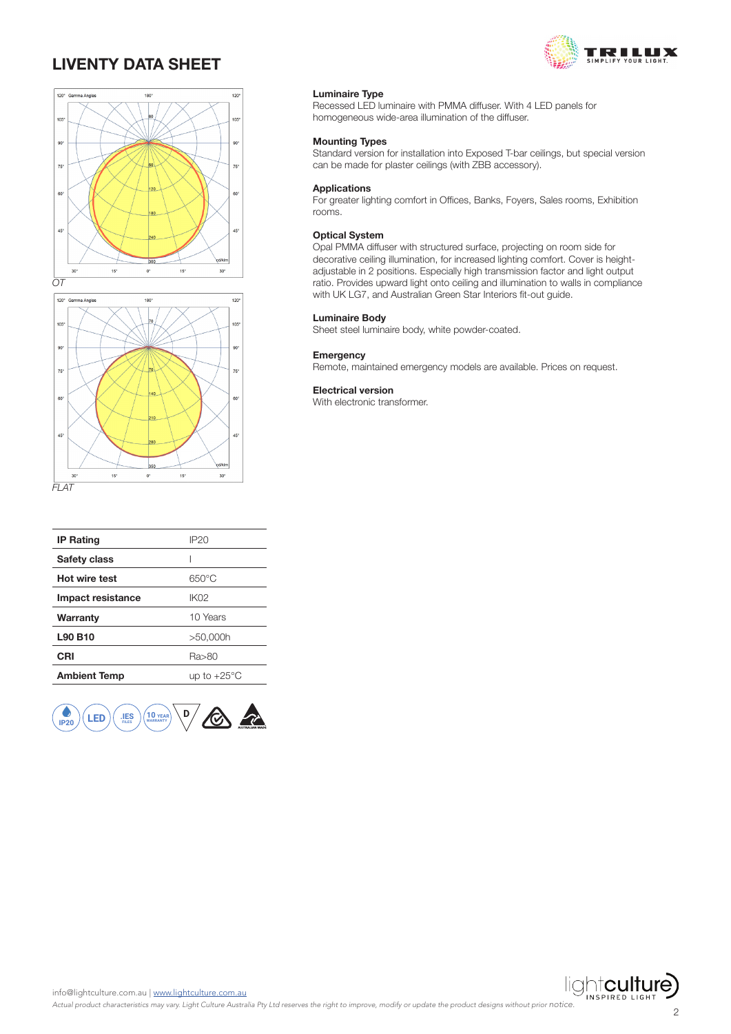# **LIVENTY DATA SHEET**



| <b>IP Rating</b>                             | IP20     |  |
|----------------------------------------------|----------|--|
| Safety class                                 |          |  |
| <b>Hot wire test</b>                         | 650°C    |  |
| Impact resistance                            | IKO2     |  |
| Warranty                                     | 10 Years |  |
| <b>L90 B10</b>                               | >50,000h |  |
| CRI                                          | Ra>80    |  |
| <b>Ambient Temp</b><br>up to $+25^{\circ}$ C |          |  |



#### **Luminaire Type**

Recessed LED luminaire with PMMA diffuser. With 4 LED panels for homogeneous wide-area illumination of the diffuser.

#### **Mounting Types**

Standard version for installation into Exposed T-bar ceilings, but special version can be made for plaster ceilings (with ZBB accessory).

#### **Applications**

For greater lighting comfort in Offices, Banks, Foyers, Sales rooms, Exhibition rooms.

### **Optical System**

Opal PMMA diffuser with structured surface, projecting on room side for decorative ceiling illumination, for increased lighting comfort. Cover is heightadjustable in 2 positions. Especially high transmission factor and light output ratio. Provides upward light onto ceiling and illumination to walls in compliance with UK LG7, and Australian Green Star Interiors fit-out guide.

#### **Luminaire Body**

Sheet steel luminaire body, white powder-coated.

#### **Emergency**

Remote, maintained emergency models are available. Prices on request.

#### **Electrical version**

With electronic transformer.





2